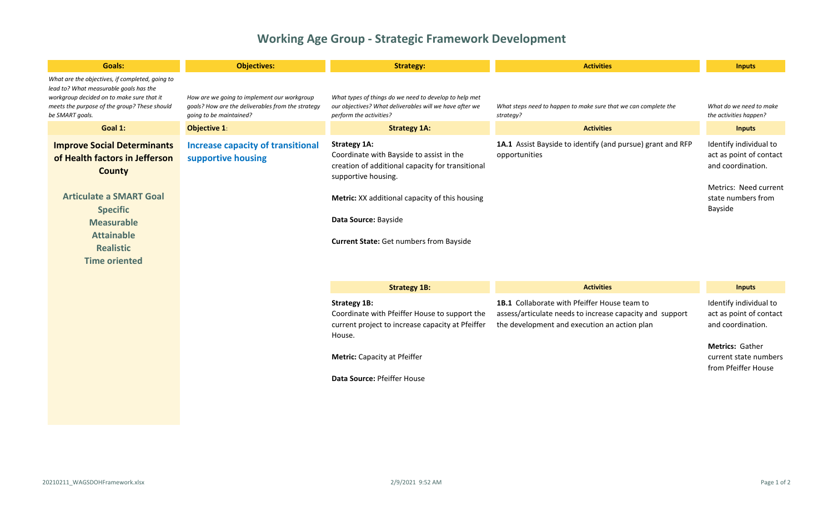## **Working Age Group - Strategic Framework Development**

| <b>Goals:</b>                                                                                                                                                                                                                    | <b>Objectives:</b>                                                                                                          | <b>Strategy:</b>                                                                                                                                                                                                                                                       | <b>Activities</b>                                                                                                                                               | <b>Inputs</b>                                                                                                                                    |
|----------------------------------------------------------------------------------------------------------------------------------------------------------------------------------------------------------------------------------|-----------------------------------------------------------------------------------------------------------------------------|------------------------------------------------------------------------------------------------------------------------------------------------------------------------------------------------------------------------------------------------------------------------|-----------------------------------------------------------------------------------------------------------------------------------------------------------------|--------------------------------------------------------------------------------------------------------------------------------------------------|
| What are the objectives, if completed, going to<br>lead to? What measurable goals has the<br>workgroup decided on to make sure that it<br>meets the purpose of the group? These should<br>be SMART goals.                        | How are we going to implement our workgroup<br>goals? How are the deliverables from the strategy<br>qoing to be maintained? | What types of things do we need to develop to help met<br>our objectives? What deliverables will we have after we<br>perform the activities?                                                                                                                           | What steps need to happen to make sure that we can complete the<br>strategy?                                                                                    | What do we need to make<br>the activities happen?                                                                                                |
| Goal 1:                                                                                                                                                                                                                          | <b>Objective 1:</b>                                                                                                         | <b>Strategy 1A:</b>                                                                                                                                                                                                                                                    | <b>Activities</b>                                                                                                                                               | <b>Inputs</b>                                                                                                                                    |
| <b>Improve Social Determinants</b><br>of Health factors in Jefferson<br><b>County</b><br><b>Articulate a SMART Goal</b><br><b>Specific</b><br><b>Measurable</b><br><b>Attainable</b><br><b>Realistic</b><br><b>Time oriented</b> | <b>Increase capacity of transitional</b><br>supportive housing                                                              | <b>Strategy 1A:</b><br>Coordinate with Bayside to assist in the<br>creation of additional capacity for transitional<br>supportive housing.<br>Metric: XX additional capacity of this housing<br>Data Source: Bayside<br><b>Current State:</b> Get numbers from Bayside | 1A.1 Assist Bayside to identify (and pursue) grant and RFP<br>opportunities                                                                                     | Identify individual to<br>act as point of contact<br>and coordination.<br>Metrics: Need current<br>state numbers from<br>Bayside                 |
|                                                                                                                                                                                                                                  |                                                                                                                             | <b>Strategy 1B:</b>                                                                                                                                                                                                                                                    | <b>Activities</b>                                                                                                                                               | <b>Inputs</b>                                                                                                                                    |
|                                                                                                                                                                                                                                  |                                                                                                                             | <b>Strategy 1B:</b><br>Coordinate with Pfeiffer House to support the<br>current project to increase capacity at Pfeiffer<br>House.<br>Metric: Capacity at Pfeiffer<br>Data Source: Pfeiffer House                                                                      | <b>1B.1</b> Collaborate with Pfeiffer House team to<br>assess/articulate needs to increase capacity and support<br>the development and execution an action plan | Identify individual to<br>act as point of contact<br>and coordination.<br><b>Metrics: Gather</b><br>current state numbers<br>from Pfeiffer House |